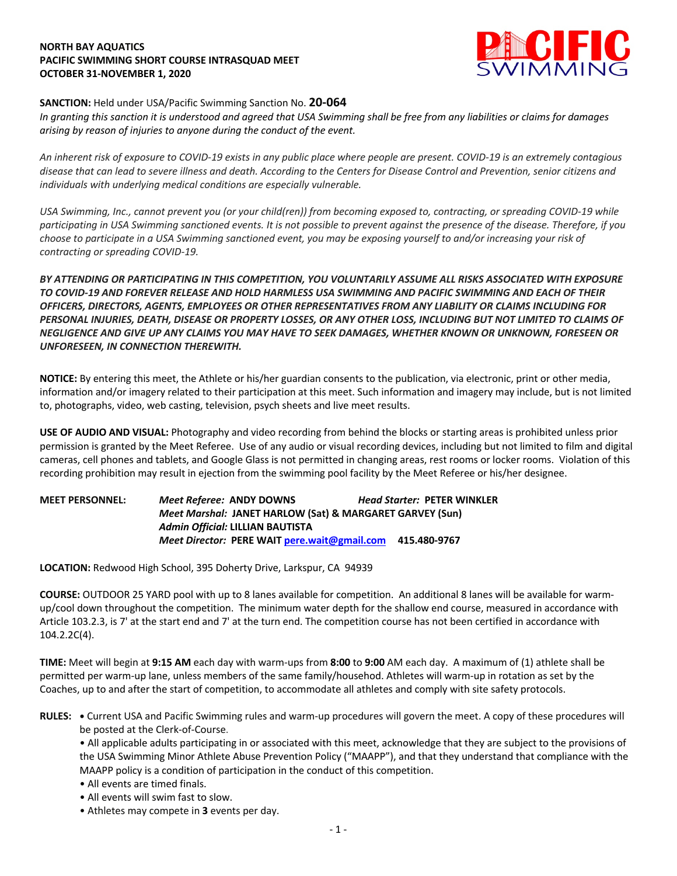# **NORTH BAY AQUATICS PACIFIC SWIMMING SHORT COURSE INTRASQUAD MEET OCTOBER 31-NOVEMBER 1, 2020**



## **SANCTION:** Held under USA/Pacific Swimming Sanction No. **20-064**

*In granting this sanction it is understood and agreed that USA Swimming shall be free from any liabilities or claims for damages arising by reason of injuries to anyone during the conduct of the event.* 

*An inherent risk of exposure to COVID-19 exists in any public place where people are present. COVID-19 is an extremely contagious disease that can lead to severe illness and death. According to the Centers for Disease Control and Prevention, senior citizens and individuals with underlying medical conditions are especially vulnerable.*

*USA Swimming, Inc., cannot prevent you (or your child(ren)) from becoming exposed to, contracting, or spreading COVID-19 while participating in USA Swimming sanctioned events. It is not possible to prevent against the presence of the disease. Therefore, if you choose to participate in a USA Swimming sanctioned event, you may be exposing yourself to and/or increasing your risk of contracting or spreading COVID-19.*

*BY ATTENDING OR PARTICIPATING IN THIS COMPETITION, YOU VOLUNTARILY ASSUME ALL RISKS ASSOCIATED WITH EXPOSURE TO COVID-19 AND FOREVER RELEASE AND HOLD HARMLESS USA SWIMMING AND PACIFIC SWIMMING AND EACH OF THEIR OFFICERS, DIRECTORS, AGENTS, EMPLOYEES OR OTHER REPRESENTATIVES FROM ANY LIABILITY OR CLAIMS INCLUDING FOR PERSONAL INJURIES, DEATH, DISEASE OR PROPERTY LOSSES, OR ANY OTHER LOSS, INCLUDING BUT NOT LIMITED TO CLAIMS OF NEGLIGENCE AND GIVE UP ANY CLAIMS YOU MAY HAVE TO SEEK DAMAGES, WHETHER KNOWN OR UNKNOWN, FORESEEN OR UNFORESEEN, IN CONNECTION THEREWITH.*

**NOTICE:** By entering this meet, the Athlete or his/her guardian consents to the publication, via electronic, print or other media, information and/or imagery related to their participation at this meet. Such information and imagery may include, but is not limited to, photographs, video, web casting, television, psych sheets and live meet results.

**USE OF AUDIO AND VISUAL:** Photography and video recording from behind the blocks or starting areas is prohibited unless prior permission is granted by the Meet Referee. Use of any audio or visual recording devices, including but not limited to film and digital cameras, cell phones and tablets, and Google Glass is not permitted in changing areas, rest rooms or locker rooms. Violation of this recording prohibition may result in ejection from the swimming pool facility by the Meet Referee or his/her designee.

**MEET PERSONNEL:** *Meet Referee:* **ANDY DOWNS** *Head Starter:* **PETER WINKLER** *Meet Marshal:* **JANET HARLOW (Sat) & MARGARET GARVEY (Sun)** *Admin Official:* **LILLIAN BAUTISTA** *Meet Director:* **PERE WAIT pere.wait@gmail.com 415.480-9767**

**LOCATION:** Redwood High School, 395 Doherty Drive, Larkspur, CA 94939

**COURSE:** OUTDOOR 25 YARD pool with up to 8 lanes available for competition.An additional 8 lanes will be available for warmup/cool down throughout the competition. The minimum water depth for the shallow end course, measured in accordance with Article 103.2.3, is 7' at the start end and 7' at the turn end. The competition course has not been certified in accordance with 104.2.2C(4).

**TIME:** Meet will begin at **9:15 AM** each day with warm-ups from **8:00** to **9:00** AM each day. A maximum of (1) athlete shall be permitted per warm-up lane, unless members of the same family/househod. Athletes will warm-up in rotation as set by the Coaches, up to and after the start of competition, to accommodate all athletes and comply with site safety protocols.

**RULES: •** Current USA and Pacific Swimming rules and warm-up procedures will govern the meet. A copy of these procedures will be posted at the Clerk-of-Course.

• All applicable adults participating in or associated with this meet, acknowledge that they are subject to the provisions of the USA Swimming Minor Athlete Abuse Prevention Policy ("MAAPP"), and that they understand that compliance with the MAAPP policy is a condition of participation in the conduct of this competition.

- All events are timed finals.
- All events will swim fast to slow.
- Athletes may compete in **3** events per day.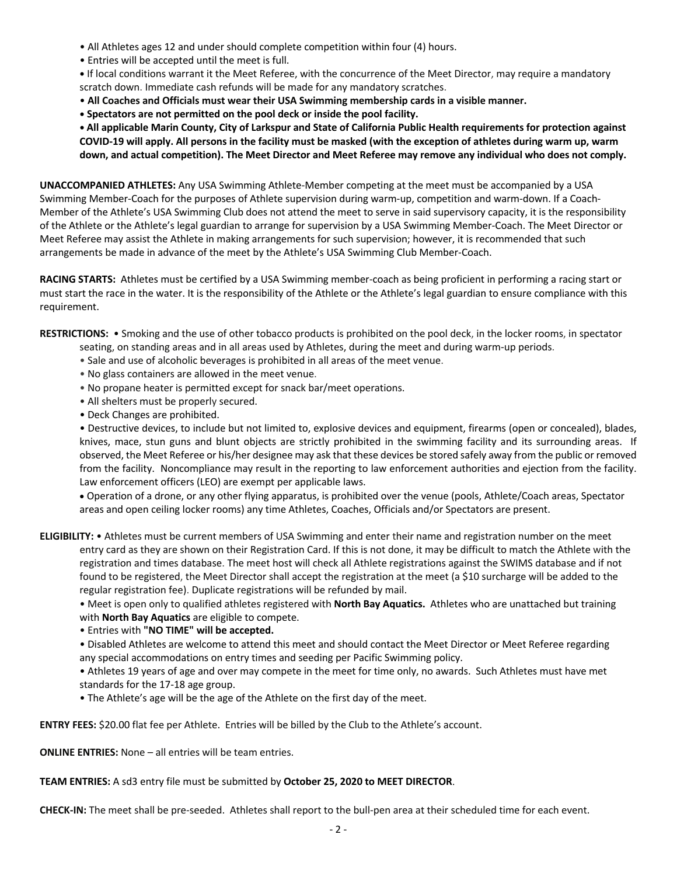- All Athletes ages 12 and under should complete competition within four (4) hours.
- Entries will be accepted until the meet is full.
- **•** If local conditions warrant it the Meet Referee, with the concurrence of the Meet Director, may require a mandatory scratch down. Immediate cash refunds will be made for any mandatory scratches.
- **All Coaches and Officials must wear their USA Swimming membership cards in a visible manner.**
- **• Spectators are not permitted on the pool deck or inside the pool facility.**

**• All applicable Marin County, City of Larkspur and State of California Public Health requirements for protection against COVID-19 will apply. All persons in the facility must be masked (with the exception of athletes during warm up, warm down, and actual competition). The Meet Director and Meet Referee may remove any individual who does not comply.** 

**UNACCOMPANIED ATHLETES:** Any USA Swimming Athlete-Member competing at the meet must be accompanied by a USA Swimming Member-Coach for the purposes of Athlete supervision during warm-up, competition and warm-down. If a Coach-Member of the Athlete's USA Swimming Club does not attend the meet to serve in said supervisory capacity, it is the responsibility of the Athlete or the Athlete's legal guardian to arrange for supervision by a USA Swimming Member-Coach. The Meet Director or Meet Referee may assist the Athlete in making arrangements for such supervision; however, it is recommended that such arrangements be made in advance of the meet by the Athlete's USA Swimming Club Member-Coach.

**RACING STARTS:** Athletes must be certified by a USA Swimming member-coach as being proficient in performing a racing start or must start the race in the water. It is the responsibility of the Athlete or the Athlete's legal guardian to ensure compliance with this requirement.

**RESTRICTIONS:** • Smoking and the use of other tobacco products is prohibited on the pool deck, in the locker rooms, in spectator

- seating, on standing areas and in all areas used by Athletes, during the meet and during warm-up periods.
- Sale and use of alcoholic beverages is prohibited in all areas of the meet venue.
- No glass containers are allowed in the meet venue.
- No propane heater is permitted except for snack bar/meet operations.
- All shelters must be properly secured.
- Deck Changes are prohibited.

• Destructive devices, to include but not limited to, explosive devices and equipment, firearms (open or concealed), blades, knives, mace, stun guns and blunt objects are strictly prohibited in the swimming facility and its surrounding areas. If observed, the Meet Referee or his/her designee may ask that these devices be stored safely away from the public or removed from the facility. Noncompliance may result in the reporting to law enforcement authorities and ejection from the facility. Law enforcement officers (LEO) are exempt per applicable laws.

• Operation of a drone, or any other flying apparatus, is prohibited over the venue (pools, Athlete/Coach areas, Spectator areas and open ceiling locker rooms) any time Athletes, Coaches, Officials and/or Spectators are present.

**ELIGIBILITY:** • Athletes must be current members of USA Swimming and enter their name and registration number on the meet entry card as they are shown on their Registration Card. If this is not done, it may be difficult to match the Athlete with the registration and times database. The meet host will check all Athlete registrations against the SWIMS database and if not found to be registered, the Meet Director shall accept the registration at the meet (a \$10 surcharge will be added to the regular registration fee). Duplicate registrations will be refunded by mail.

• Meet is open only to qualified athletes registered with **North Bay Aquatics.** Athletes who are unattached but training with **North Bay Aquatics** are eligible to compete.

• Entries with **"NO TIME" will be accepted.**

• Disabled Athletes are welcome to attend this meet and should contact the Meet Director or Meet Referee regarding any special accommodations on entry times and seeding per Pacific Swimming policy.

• Athletes 19 years of age and over may compete in the meet for time only, no awards. Such Athletes must have met standards for the 17-18 age group.

• The Athlete's age will be the age of the Athlete on the first day of the meet.

**ENTRY FEES:** \$20.00 flat fee per Athlete. Entries will be billed by the Club to the Athlete's account.

**ONLINE ENTRIES:** None – all entries will be team entries.

## **TEAM ENTRIES:** A sd3 entry file must be submitted by **October 25, 2020 to MEET DIRECTOR**.

**CHECK-IN:** The meet shall be pre-seeded. Athletes shall report to the bull-pen area at their scheduled time for each event.